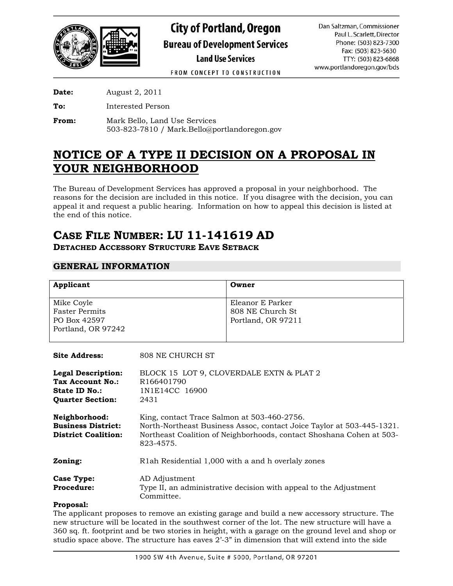

FROM CONCEPT TO CONSTRUCTION

**Date:** August 2, 2011

**To:** Interested Person

**From:** Mark Bello, Land Use Services 503-823-7810 / Mark.Bello@portlandoregon.gov

## **NOTICE OF A TYPE II DECISION ON A PROPOSAL IN YOUR NEIGHBORHOOD**

The Bureau of Development Services has approved a proposal in your neighborhood. The reasons for the decision are included in this notice. If you disagree with the decision, you can appeal it and request a public hearing. Information on how to appeal this decision is listed at the end of this notice.

# **CASE FILE NUMBER: LU 11-141619 AD**

**DETACHED ACCESSORY STRUCTURE EAVE SETBACK** 

## **GENERAL INFORMATION**

| Applicant                                                                                        |                                                                                                                                                                                                           | Owner                                                      |
|--------------------------------------------------------------------------------------------------|-----------------------------------------------------------------------------------------------------------------------------------------------------------------------------------------------------------|------------------------------------------------------------|
| Mike Coyle<br><b>Faster Permits</b><br>PO Box 42597<br>Portland, OR 97242                        |                                                                                                                                                                                                           | Eleanor E Parker<br>808 NE Church St<br>Portland, OR 97211 |
| <b>Site Address:</b>                                                                             | 808 NE CHURCH ST                                                                                                                                                                                          |                                                            |
| <b>Legal Description:</b><br>Tax Account No.:<br><b>State ID No.:</b><br><b>Quarter Section:</b> | BLOCK 15 LOT 9, CLOVERDALE EXTN & PLAT 2<br>R166401790<br>1N1E14CC 16900<br>2431                                                                                                                          |                                                            |
| Neighborhood:<br><b>Business District:</b><br><b>District Coalition:</b>                         | King, contact Trace Salmon at 503-460-2756.<br>North-Northeast Business Assoc, contact Joice Taylor at 503-445-1321.<br>Northeast Coalition of Neighborhoods, contact Shoshana Cohen at 503-<br>823-4575. |                                                            |
| Zoning:                                                                                          | R1ah Residential 1,000 with a and h overlaly zones                                                                                                                                                        |                                                            |
| <b>Case Type:</b><br><b>Procedure:</b>                                                           | AD Adjustment<br>Type II, an administrative decision with appeal to the Adjustment<br>Committee.                                                                                                          |                                                            |
| Proposal:                                                                                        |                                                                                                                                                                                                           |                                                            |

#### The applicant proposes to remove an existing garage and build a new accessory structure. The new structure will be located in the southwest corner of the lot. The new structure will have a 360 sq. ft. footprint and be two stories in height, with a garage on the ground level and shop or studio space above. The structure has eaves 2'-3" in dimension that will extend into the side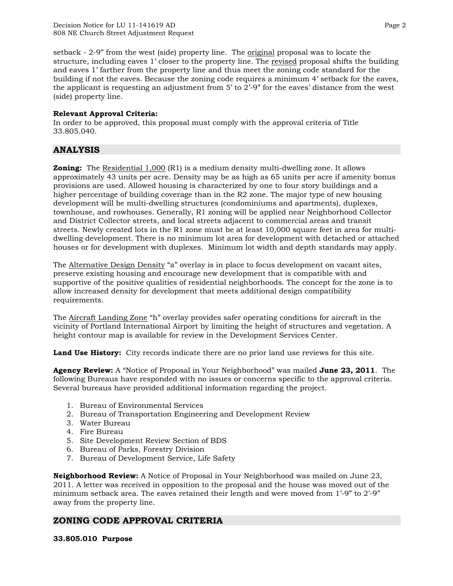setback - 2-9" from the west (side) property line. The original proposal was to locate the structure, including eaves 1' closer to the property line. The revised proposal shifts the building and eaves 1' farther from the property line and thus meet the zoning code standard for the building if not the eaves. Because the zoning code requires a minimum 4' setback for the eaves, the applicant is requesting an adjustment from 5' to 2'-9" for the eaves' distance from the west (side) property line.

#### **Relevant Approval Criteria:**

In order to be approved, this proposal must comply with the approval criteria of Title 33.805.040.

## **ANALYSIS**

**Zoning:** The Residential 1,000 (R1) is a medium density multi-dwelling zone. It allows approximately 43 units per acre. Density may be as high as 65 units per acre if amenity bonus provisions are used. Allowed housing is characterized by one to four story buildings and a higher percentage of building coverage than in the R2 zone. The major type of new housing development will be multi-dwelling structures (condominiums and apartments), duplexes, townhouse, and rowhouses. Generally, R1 zoning will be applied near Neighborhood Collector and District Collector streets, and local streets adjacent to commercial areas and transit streets. Newly created lots in the R1 zone must be at least 10,000 square feet in area for multidwelling development. There is no minimum lot area for development with detached or attached houses or for development with duplexes. Minimum lot width and depth standards may apply.

The Alternative Design Density "a" overlay is in place to focus development on vacant sites, preserve existing housing and encourage new development that is compatible with and supportive of the positive qualities of residential neighborhoods. The concept for the zone is to allow increased density for development that meets additional design compatibility requirements.

The Aircraft Landing Zone "h" overlay provides safer operating conditions for aircraft in the vicinity of Portland International Airport by limiting the height of structures and vegetation. A height contour map is available for review in the Development Services Center.

**Land Use History:** City records indicate there are no prior land use reviews for this site.

**Agency Review:** A "Notice of Proposal in Your Neighborhood" was mailed **June 23, 2011**. The following Bureaus have responded with no issues or concerns specific to the approval criteria. Several bureaus have provided additional information regarding the project.

- 1. Bureau of Environmental Services
- 2. Bureau of Transportation Engineering and Development Review
- 3. Water Bureau
- 4. Fire Bureau
- 5. Site Development Review Section of BDS
- 6. Bureau of Parks, Forestry Division
- 7. Bureau of Development Service, Life Safety

**Neighborhood Review:** A Notice of Proposal in Your Neighborhood was mailed on June 23, 2011. A letter was received in opposition to the proposal and the house was moved out of the minimum setback area. The eaves retained their length and were moved from 1'-9" to 2'-9" away from the property line.

## **ZONING CODE APPROVAL CRITERIA**

**33.805.010 Purpose**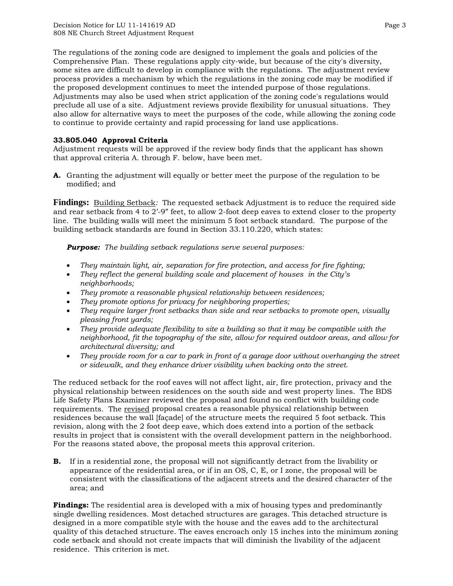The regulations of the zoning code are designed to implement the goals and policies of the Comprehensive Plan. These regulations apply city-wide, but because of the city's diversity, some sites are difficult to develop in compliance with the regulations. The adjustment review process provides a mechanism by which the regulations in the zoning code may be modified if the proposed development continues to meet the intended purpose of those regulations. Adjustments may also be used when strict application of the zoning code's regulations would preclude all use of a site. Adjustment reviews provide flexibility for unusual situations. They also allow for alternative ways to meet the purposes of the code, while allowing the zoning code to continue to provide certainty and rapid processing for land use applications.

## **33.805.040 Approval Criteria**

Adjustment requests will be approved if the review body finds that the applicant has shown that approval criteria A. through F. below, have been met.

**A.** Granting the adjustment will equally or better meet the purpose of the regulation to be modified; and

**Findings:** Building Setback: The requested setback Adjustment is to reduce the required side and rear setback from 4 to 2'-9" feet, to allow 2-foot deep eaves to extend closer to the property line. The building walls will meet the minimum 5 foot setback standard. The purpose of the building setback standards are found in Section 33.110.220, which states:

*Purpose: The building setback regulations serve several purposes:* 

- *They maintain light, air, separation for fire protection, and access for fire fighting;*
- *They reflect the general building scale and placement of houses in the City's neighborhoods;*
- *They promote a reasonable physical relationship between residences;*
- *They promote options for privacy for neighboring properties;*
- *They require larger front setbacks than side and rear setbacks to promote open, visually pleasing front yards;*
- *They provide adequate flexibility to site a building so that it may be compatible with the neighborhood, fit the topography of the site, allow for required outdoor areas, and allow for architectural diversity; and*
- *They provide room for a car to park in front of a garage door without overhanging the street or sidewalk, and they enhance driver visibility when backing onto the street.*

The reduced setback for the roof eaves will not affect light, air, fire protection, privacy and the physical relationship between residences on the south side and west property lines. The BDS Life Safety Plans Examiner reviewed the proposal and found no conflict with building code requirements. The revised proposal creates a reasonable physical relationship between residences because the wall [façade] of the structure meets the required 5 foot setback. This revision, along with the 2 foot deep eave, which does extend into a portion of the setback results in project that is consistent with the overall development pattern in the neighborhood. For the reasons stated above, the proposal meets this approval criterion.

**B.** If in a residential zone, the proposal will not significantly detract from the livability or appearance of the residential area, or if in an OS, C, E, or I zone, the proposal will be consistent with the classifications of the adjacent streets and the desired character of the area; and

**Findings:** The residential area is developed with a mix of housing types and predominantly single dwelling residences. Most detached structures are garages. This detached structure is designed in a more compatible style with the house and the eaves add to the architectural quality of this detached structure. The eaves encroach only 15 inches into the minimum zoning code setback and should not create impacts that will diminish the livability of the adjacent residence. This criterion is met.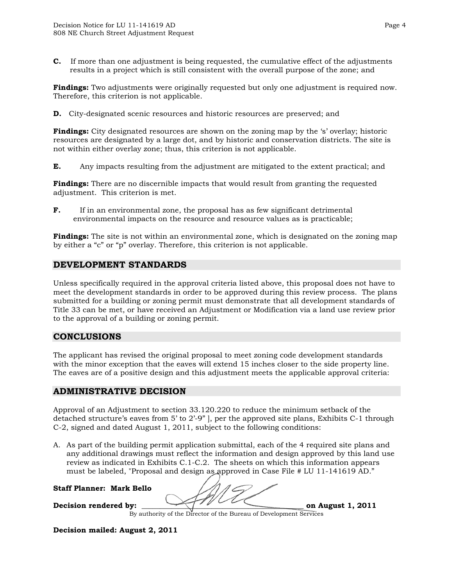**C.** If more than one adjustment is being requested, the cumulative effect of the adjustments results in a project which is still consistent with the overall purpose of the zone; and

**Findings:** Two adjustments were originally requested but only one adjustment is required now. Therefore, this criterion is not applicable.

**D.** City-designated scenic resources and historic resources are preserved; and

**Findings:** City designated resources are shown on the zoning map by the 's' overlay; historic resources are designated by a large dot, and by historic and conservation districts. The site is not within either overlay zone; thus, this criterion is not applicable.

**E.** Any impacts resulting from the adjustment are mitigated to the extent practical; and

**Findings:** There are no discernible impacts that would result from granting the requested adjustment. This criterion is met.

**F.** If in an environmental zone, the proposal has as few significant detrimental environmental impacts on the resource and resource values as is practicable;

**Findings:** The site is not within an environmental zone, which is designated on the zoning map by either a "c" or "p" overlay. Therefore, this criterion is not applicable.

## **DEVELOPMENT STANDARDS**

Unless specifically required in the approval criteria listed above, this proposal does not have to meet the development standards in order to be approved during this review process. The plans submitted for a building or zoning permit must demonstrate that all development standards of Title 33 can be met, or have received an Adjustment or Modification via a land use review prior to the approval of a building or zoning permit.

## **CONCLUSIONS**

The applicant has revised the original proposal to meet zoning code development standards with the minor exception that the eaves will extend 15 inches closer to the side property line. The eaves are of a positive design and this adjustment meets the applicable approval criteria:

## **ADMINISTRATIVE DECISION**

Approval of an Adjustment to section 33.120.220 to reduce the minimum setback of the detached structure's eaves from 5' to 2'-9" ], per the approved site plans, Exhibits C-1 through C-2, signed and dated August 1, 2011, subject to the following conditions:

A. As part of the building permit application submittal, each of the 4 required site plans and any additional drawings must reflect the information and design approved by this land use review as indicated in Exhibits C.1-C.2. The sheets on which this information appears must be labeled, "Proposal and design as approved in Case File # LU 11-141619 AD."

**Staff Planner: Mark Bello** 

Decision rendered by: **Decision rendered by: on August 1, 2011** 

**Decision mailed: August 2, 2011**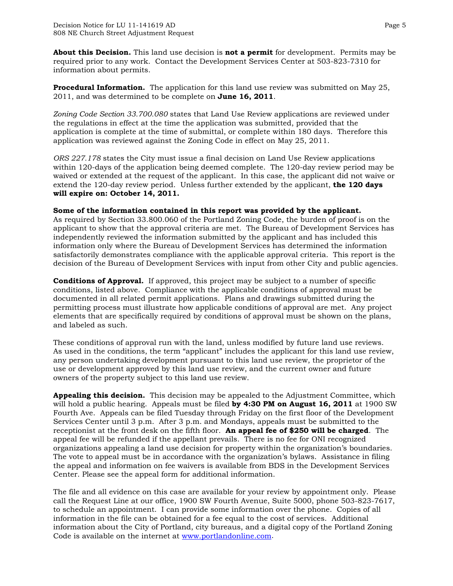**About this Decision.** This land use decision is **not a permit** for development. Permits may be required prior to any work. Contact the Development Services Center at 503-823-7310 for information about permits.

**Procedural Information.** The application for this land use review was submitted on May 25, 2011, and was determined to be complete on **June 16, 2011**.

*Zoning Code Section 33.700.080* states that Land Use Review applications are reviewed under the regulations in effect at the time the application was submitted, provided that the application is complete at the time of submittal, or complete within 180 days. Therefore this application was reviewed against the Zoning Code in effect on May 25, 2011.

*ORS 227.178* states the City must issue a final decision on Land Use Review applications within 120-days of the application being deemed complete. The 120-day review period may be waived or extended at the request of the applicant. In this case, the applicant did not waive or extend the 120-day review period. Unless further extended by the applicant, **the 120 days will expire on: October 14, 2011.**

#### **Some of the information contained in this report was provided by the applicant.**

As required by Section 33.800.060 of the Portland Zoning Code, the burden of proof is on the applicant to show that the approval criteria are met. The Bureau of Development Services has independently reviewed the information submitted by the applicant and has included this information only where the Bureau of Development Services has determined the information satisfactorily demonstrates compliance with the applicable approval criteria. This report is the decision of the Bureau of Development Services with input from other City and public agencies.

**Conditions of Approval.** If approved, this project may be subject to a number of specific conditions, listed above. Compliance with the applicable conditions of approval must be documented in all related permit applications. Plans and drawings submitted during the permitting process must illustrate how applicable conditions of approval are met. Any project elements that are specifically required by conditions of approval must be shown on the plans, and labeled as such.

These conditions of approval run with the land, unless modified by future land use reviews. As used in the conditions, the term "applicant" includes the applicant for this land use review, any person undertaking development pursuant to this land use review, the proprietor of the use or development approved by this land use review, and the current owner and future owners of the property subject to this land use review.

**Appealing this decision.** This decision may be appealed to the Adjustment Committee, which will hold a public hearing. Appeals must be filed **by 4:30 PM on August 16, 2011** at 1900 SW Fourth Ave. Appeals can be filed Tuesday through Friday on the first floor of the Development Services Center until 3 p.m. After 3 p.m. and Mondays, appeals must be submitted to the receptionist at the front desk on the fifth floor. **An appeal fee of \$250 will be charged**. The appeal fee will be refunded if the appellant prevails. There is no fee for ONI recognized organizations appealing a land use decision for property within the organization's boundaries. The vote to appeal must be in accordance with the organization's bylaws. Assistance in filing the appeal and information on fee waivers is available from BDS in the Development Services Center. Please see the appeal form for additional information.

The file and all evidence on this case are available for your review by appointment only. Please call the Request Line at our office, 1900 SW Fourth Avenue, Suite 5000, phone 503-823-7617, to schedule an appointment. I can provide some information over the phone. Copies of all information in the file can be obtained for a fee equal to the cost of services. Additional information about the City of Portland, city bureaus, and a digital copy of the Portland Zoning Code is available on the internet at [www.portlandonline.com](http://www.ci.portland.or.us/).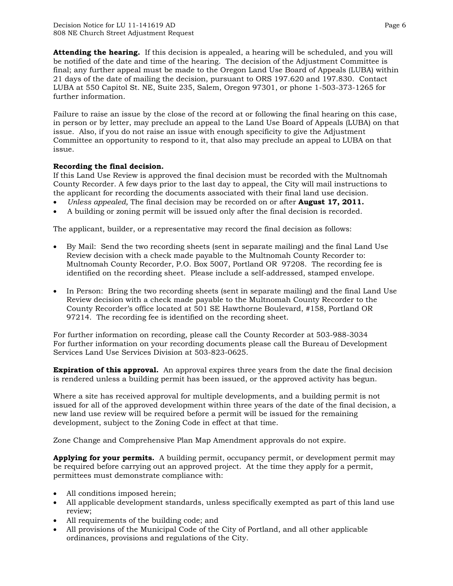**Attending the hearing.** If this decision is appealed, a hearing will be scheduled, and you will be notified of the date and time of the hearing. The decision of the Adjustment Committee is final; any further appeal must be made to the Oregon Land Use Board of Appeals (LUBA) within 21 days of the date of mailing the decision, pursuant to ORS 197.620 and 197.830. Contact LUBA at 550 Capitol St. NE, Suite 235, Salem, Oregon 97301, or phone 1-503-373-1265 for further information.

Failure to raise an issue by the close of the record at or following the final hearing on this case, in person or by letter, may preclude an appeal to the Land Use Board of Appeals (LUBA) on that issue. Also, if you do not raise an issue with enough specificity to give the Adjustment Committee an opportunity to respond to it, that also may preclude an appeal to LUBA on that issue.

## **Recording the final decision.**

If this Land Use Review is approved the final decision must be recorded with the Multnomah County Recorder. A few days prior to the last day to appeal, the City will mail instructions to the applicant for recording the documents associated with their final land use decision.

- *Unless appealed,* The final decision may be recorded on or after **August 17, 2011.**
- A building or zoning permit will be issued only after the final decision is recorded.

The applicant, builder, or a representative may record the final decision as follows:

- By Mail: Send the two recording sheets (sent in separate mailing) and the final Land Use Review decision with a check made payable to the Multnomah County Recorder to: Multnomah County Recorder, P.O. Box 5007, Portland OR 97208. The recording fee is identified on the recording sheet. Please include a self-addressed, stamped envelope.
- In Person: Bring the two recording sheets (sent in separate mailing) and the final Land Use Review decision with a check made payable to the Multnomah County Recorder to the County Recorder's office located at 501 SE Hawthorne Boulevard, #158, Portland OR 97214. The recording fee is identified on the recording sheet.

For further information on recording, please call the County Recorder at 503-988-3034 For further information on your recording documents please call the Bureau of Development Services Land Use Services Division at 503-823-0625.

**Expiration of this approval.** An approval expires three years from the date the final decision is rendered unless a building permit has been issued, or the approved activity has begun.

Where a site has received approval for multiple developments, and a building permit is not issued for all of the approved development within three years of the date of the final decision, a new land use review will be required before a permit will be issued for the remaining development, subject to the Zoning Code in effect at that time.

Zone Change and Comprehensive Plan Map Amendment approvals do not expire.

**Applying for your permits.** A building permit, occupancy permit, or development permit may be required before carrying out an approved project. At the time they apply for a permit, permittees must demonstrate compliance with:

- All conditions imposed herein;
- All applicable development standards, unless specifically exempted as part of this land use review;
- All requirements of the building code; and
- All provisions of the Municipal Code of the City of Portland, and all other applicable ordinances, provisions and regulations of the City.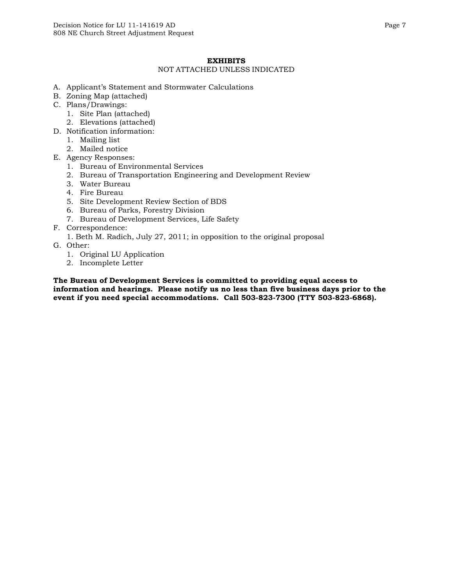## **EXHIBITS**

#### NOT ATTACHED UNLESS INDICATED

- A. Applicant's Statement and Stormwater Calculations
- B. Zoning Map (attached)
- C. Plans/Drawings:
	- 1. Site Plan (attached)
	- 2. Elevations (attached)
- D. Notification information:
	- 1. Mailing list
	- 2. Mailed notice
- E. Agency Responses:
	- 1. Bureau of Environmental Services
	- 2. Bureau of Transportation Engineering and Development Review
	- 3. Water Bureau
	- 4. Fire Bureau
	- 5. Site Development Review Section of BDS
	- 6. Bureau of Parks, Forestry Division
	- 7. Bureau of Development Services, Life Safety
- F. Correspondence:
	- 1. Beth M. Radich, July 27, 2011; in opposition to the original proposal
- G. Other:
	- 1. Original LU Application
	- 2. Incomplete Letter

**The Bureau of Development Services is committed to providing equal access to information and hearings. Please notify us no less than five business days prior to the event if you need special accommodations. Call 503-823-7300 (TTY 503-823-6868).**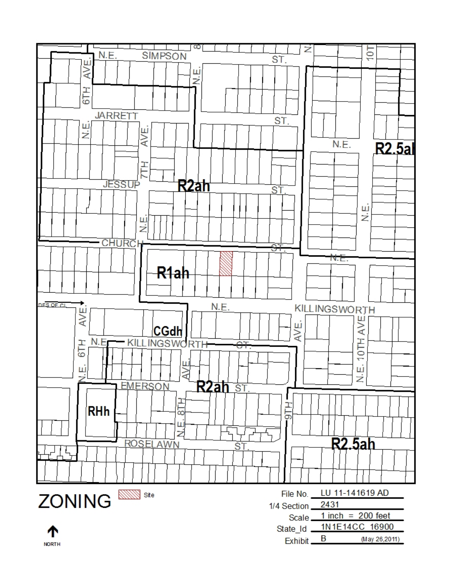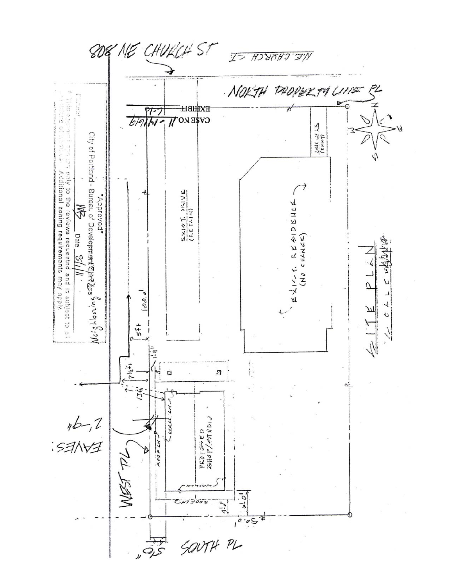